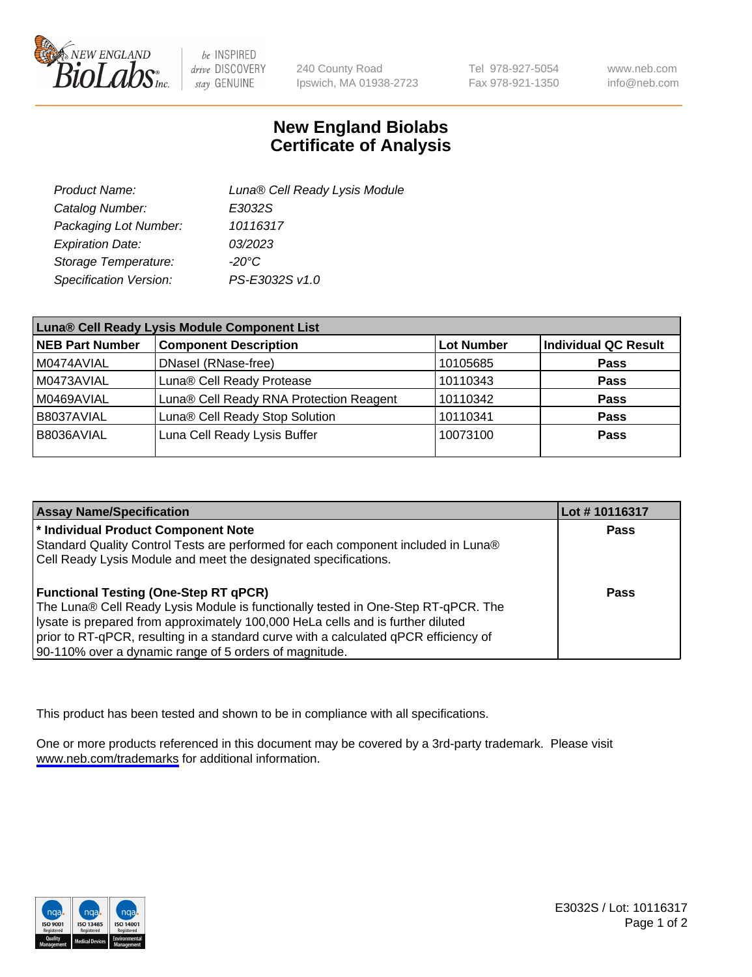

be INSPIRED drive DISCOVERY stay GENUINE

240 County Road Ipswich, MA 01938-2723 Tel 978-927-5054 Fax 978-921-1350

www.neb.com info@neb.com

## **New England Biolabs Certificate of Analysis**

| Product Name:           | Luna® Cell Ready Lysis Module |
|-------------------------|-------------------------------|
| Catalog Number:         | E3032S                        |
| Packaging Lot Number:   | 10116317                      |
| <b>Expiration Date:</b> | 03/2023                       |
| Storage Temperature:    | -20°C                         |
| Specification Version:  | PS-E3032S v1.0                |

| Luna® Cell Ready Lysis Module Component List |                                         |                   |                             |  |
|----------------------------------------------|-----------------------------------------|-------------------|-----------------------------|--|
| NEB Part Number                              | <b>Component Description</b>            | <b>Lot Number</b> | <b>Individual QC Result</b> |  |
| M0474AVIAL                                   | DNasel (RNase-free)                     | 10105685          | <b>Pass</b>                 |  |
| M0473AVIAL                                   | Luna® Cell Ready Protease               | 10110343          | <b>Pass</b>                 |  |
| M0469AVIAL                                   | Luna® Cell Ready RNA Protection Reagent | 10110342          | <b>Pass</b>                 |  |
| B8037AVIAL                                   | Luna® Cell Ready Stop Solution          | 10110341          | <b>Pass</b>                 |  |
| B8036AVIAL                                   | Luna Cell Ready Lysis Buffer            | 10073100          | Pass                        |  |
|                                              |                                         |                   |                             |  |

| <b>Assay Name/Specification</b>                                                      | Lot #10116317 |
|--------------------------------------------------------------------------------------|---------------|
| <sup>*</sup> Individual Product Component Note                                       | Pass          |
| Standard Quality Control Tests are performed for each component included in Luna®    |               |
| Cell Ready Lysis Module and meet the designated specifications.                      |               |
|                                                                                      |               |
| <b>Functional Testing (One-Step RT qPCR)</b>                                         | Pass          |
| The Luna® Cell Ready Lysis Module is functionally tested in One-Step RT-qPCR. The    |               |
| lysate is prepared from approximately 100,000 HeLa cells and is further diluted      |               |
| prior to RT-qPCR, resulting in a standard curve with a calculated qPCR efficiency of |               |
| 90-110% over a dynamic range of 5 orders of magnitude.                               |               |

This product has been tested and shown to be in compliance with all specifications.

One or more products referenced in this document may be covered by a 3rd-party trademark. Please visit <www.neb.com/trademarks>for additional information.